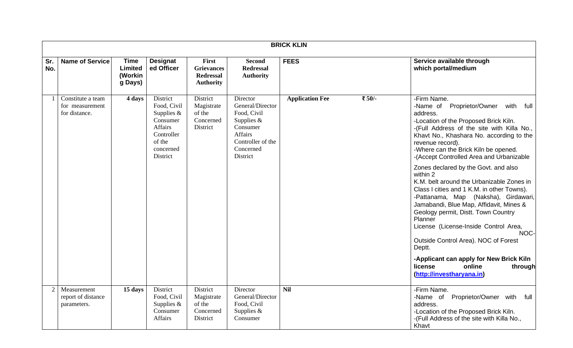|            |                                                       |                                                     |                                                                                                                 |                                                                    |                                                                                                                                  | <b>BRICK KLIN</b>      |        |                                                                                                                                                                                                                                                                                                                                                                                                                                                                                                                                                                                                                                                                                                                                                                                                                |
|------------|-------------------------------------------------------|-----------------------------------------------------|-----------------------------------------------------------------------------------------------------------------|--------------------------------------------------------------------|----------------------------------------------------------------------------------------------------------------------------------|------------------------|--------|----------------------------------------------------------------------------------------------------------------------------------------------------------------------------------------------------------------------------------------------------------------------------------------------------------------------------------------------------------------------------------------------------------------------------------------------------------------------------------------------------------------------------------------------------------------------------------------------------------------------------------------------------------------------------------------------------------------------------------------------------------------------------------------------------------------|
| Sr.<br>No. | <b>Name of Service</b>                                | <b>Time</b><br><b>Limited</b><br>(Workin<br>g Days) | <b>Designat</b><br>ed Officer                                                                                   | First<br><b>Grievances</b><br><b>Redressal</b><br><b>Authority</b> | <b>Second</b><br><b>Redressal</b><br><b>Authority</b>                                                                            | <b>FEES</b>            |        | Service available through<br>which portal/medium                                                                                                                                                                                                                                                                                                                                                                                                                                                                                                                                                                                                                                                                                                                                                               |
|            | Constitute a team<br>for measurement<br>for distance. | 4 days                                              | District<br>Food, Civil<br>Supplies $&$<br>Consumer<br>Affairs<br>Controller<br>of the<br>concerned<br>District | District<br>Magistrate<br>of the<br>Concerned<br>District          | Director<br>General/Director<br>Food, Civil<br>Supplies $&$<br>Consumer<br>Affairs<br>Controller of the<br>Concerned<br>District | <b>Application Fee</b> | ₹ 50/- | -Firm Name.<br>-Name of Proprietor/Owner<br>with<br>full<br>address.<br>-Location of the Proposed Brick Kiln.<br>-(Full Address of the site with Killa No.,<br>Khavt No., Khashara No. according to the<br>revenue record).<br>-Where can the Brick Kiln be opened.<br>-(Accept Controlled Area and Urbanizable<br>Zones declared by the Govt. and also<br>within 2<br>K.M. belt around the Urbanizable Zones in<br>Class I cities and 1 K.M. in other Towns).<br>-Pattanama, Map (Naksha), Girdawari,<br>Jamabandi, Blue Map, Affidavit, Mines &<br>Geology permit, Distt. Town Country<br>Planner<br>License (License-Inside Control Area,<br>NOC-<br>Outside Control Area). NOC of Forest<br>Deptt.<br>-Applicant can apply for New Brick Kiln<br>license<br>online<br>through<br>(http://investharyana.in) |
| 2          | Measurement<br>report of distance<br>parameters.      | 15 days                                             | District<br>Food, Civil<br>Supplies $&$<br>Consumer<br><b>Affairs</b>                                           | District<br>Magistrate<br>of the<br>Concerned<br>District          | Director<br>General/Director<br>Food, Civil<br>Supplies $&$<br>Consumer                                                          | <b>Nil</b>             |        | -Firm Name.<br>Proprietor/Owner with<br>-Name of<br>full<br>address.<br>-Location of the Proposed Brick Kiln.<br>-(Full Address of the site with Killa No.,<br>Khavt                                                                                                                                                                                                                                                                                                                                                                                                                                                                                                                                                                                                                                           |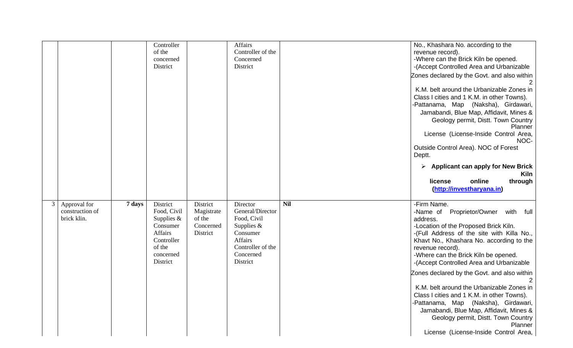|                                                |        | Controller<br>of the<br>concerned<br>District                                                                        |                                                           | <b>Affairs</b><br>Controller of the<br>Concerned<br>District                                                                     |            | No., Khashara No. according to the<br>revenue record).<br>-Where can the Brick Kiln be opened.<br>-(Accept Controlled Area and Urbanizable<br>Zones declared by the Govt. and also within<br>K.M. belt around the Urbanizable Zones in<br>Class I cities and 1 K.M. in other Towns).<br>-Pattanama, Map (Naksha), Girdawari,<br>Jamabandi, Blue Map, Affidavit, Mines &<br>Geology permit, Distt. Town Country<br>Planner<br>License (License-Inside Control Area,<br>NOC-<br>Outside Control Area). NOC of Forest<br>Deptt.              |
|------------------------------------------------|--------|----------------------------------------------------------------------------------------------------------------------|-----------------------------------------------------------|----------------------------------------------------------------------------------------------------------------------------------|------------|-------------------------------------------------------------------------------------------------------------------------------------------------------------------------------------------------------------------------------------------------------------------------------------------------------------------------------------------------------------------------------------------------------------------------------------------------------------------------------------------------------------------------------------------|
|                                                |        |                                                                                                                      |                                                           |                                                                                                                                  |            | Applicant can apply for New Brick<br>Kiln<br>online<br>through<br>license<br>(http://investharyana.in)                                                                                                                                                                                                                                                                                                                                                                                                                                    |
| Approval for<br>construction of<br>brick klin. | 7 days | District<br>Food, Civil<br>Supplies &<br>Consumer<br><b>Affairs</b><br>Controller<br>of the<br>concerned<br>District | District<br>Magistrate<br>of the<br>Concerned<br>District | Director<br>General/Director<br>Food, Civil<br>Supplies $&$<br>Consumer<br>Affairs<br>Controller of the<br>Concerned<br>District | <b>Nil</b> | -Firm Name.<br>Proprietor/Owner with full<br>-Name of<br>address.<br>-Location of the Proposed Brick Kiln.<br>-(Full Address of the site with Killa No.,<br>Khavt No., Khashara No. according to the<br>revenue record).<br>-Where can the Brick Kiln be opened.<br>-(Accept Controlled Area and Urbanizable<br>Zones declared by the Govt. and also within<br>K.M. belt around the Urbanizable Zones in<br>Class I cities and 1 K.M. in other Towns).<br>-Pattanama, Map (Naksha), Girdawari,<br>Jamabandi, Blue Map, Affidavit, Mines & |
|                                                |        |                                                                                                                      |                                                           |                                                                                                                                  |            | Geology permit, Distt. Town Country<br>Planner<br>License (License-Inside Control Area,                                                                                                                                                                                                                                                                                                                                                                                                                                                   |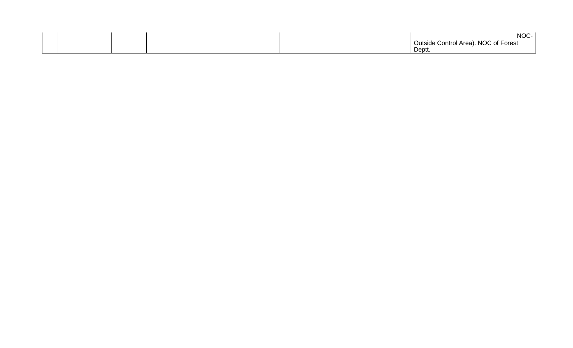|  |  |  | ぃへへ<br>-טעוו                         |
|--|--|--|--------------------------------------|
|  |  |  | Outside Control Area). NOC of Forest |
|  |  |  | Deptt.                               |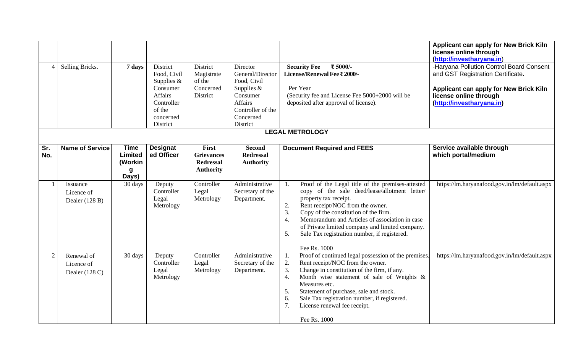| $\overline{4}$ | Selling Bricks.                              | 7 days                                          | District<br>Food, Civil<br>Supplies $&$<br>Consumer<br>Affairs<br>Controller<br>of the<br>concerned<br>District | District<br>Magistrate<br>of the<br>Concerned<br>District          | Director<br>General/Director<br>Food, Civil<br>Supplies &<br>Consumer<br><b>Affairs</b><br>Controller of the<br>Concerned<br>District | ₹ 5000/-<br><b>Security Fee</b><br>License/Renewal Fee ₹ 2000/-<br>Per Year<br>(Security fee and License Fee 5000+2000 will be<br>deposited after approval of license).                                                                                                                                                                                                                                                   | Applicant can apply for New Brick Kiln<br>license online through<br>(http://investharyana.in)<br>-Haryana Pollution Control Board Consent<br>and GST Registration Certificate.<br>Applicant can apply for New Brick Kiln<br>license online through<br>(http://investharyana.in) |
|----------------|----------------------------------------------|-------------------------------------------------|-----------------------------------------------------------------------------------------------------------------|--------------------------------------------------------------------|---------------------------------------------------------------------------------------------------------------------------------------|---------------------------------------------------------------------------------------------------------------------------------------------------------------------------------------------------------------------------------------------------------------------------------------------------------------------------------------------------------------------------------------------------------------------------|---------------------------------------------------------------------------------------------------------------------------------------------------------------------------------------------------------------------------------------------------------------------------------|
|                |                                              |                                                 |                                                                                                                 |                                                                    |                                                                                                                                       | <b>LEGAL METROLOGY</b>                                                                                                                                                                                                                                                                                                                                                                                                    |                                                                                                                                                                                                                                                                                 |
| Sr.<br>No.     | Name of Service                              | <b>Time</b><br>Limited<br>(Workin<br>g<br>Days) | <b>Designat</b><br>ed Officer                                                                                   | First<br><b>Grievances</b><br><b>Redressal</b><br><b>Authority</b> | <b>Second</b><br><b>Redressal</b><br><b>Authority</b>                                                                                 | <b>Document Required and FEES</b>                                                                                                                                                                                                                                                                                                                                                                                         | Service available through<br>which portal/medium                                                                                                                                                                                                                                |
| -1             | Issuance<br>Licence of<br>Dealer (128 B)     | 30 days                                         | Deputy<br>Controller<br>Legal<br>Metrology                                                                      | Controller<br>Legal<br>Metrology                                   | Administrative<br>Secretary of the<br>Department.                                                                                     | Proof of the Legal title of the premises-attested<br>1.<br>copy of the sale deed/lease/allotment letter/<br>property tax receipt.<br>2.<br>Rent receipt/NOC from the owner.<br>3.<br>Copy of the constitution of the firm.<br>Memorandum and Articles of association in case<br>$\overline{4}$ .<br>of Private limited company and limited company.<br>Sale Tax registration number, if registered.<br>5.<br>Fee Rs. 1000 | https://lm.haryanafood.gov.in/lm/default.aspx                                                                                                                                                                                                                                   |
| $\overline{2}$ | Renewal of<br>Licence of<br>Dealer $(128 C)$ | 30 days                                         | Deputy<br>Controller<br>Legal<br>Metrology                                                                      | Controller<br>Legal<br>Metrology                                   | Administrative<br>Secretary of the<br>Department.                                                                                     | Proof of continued legal possession of the premises.<br>1.<br>2.<br>Rent receipt/NOC from the owner.<br>3.<br>Change in constitution of the firm, if any.<br>Month wise statement of sale of Weights &<br>4.<br>Measures etc.<br>Statement of purchase, sale and stock.<br>5.<br>Sale Tax registration number, if registered.<br>6.<br>7.<br>License renewal fee receipt.<br>Fee Rs. 1000                                 | https://lm.haryanafood.gov.in/lm/default.aspx                                                                                                                                                                                                                                   |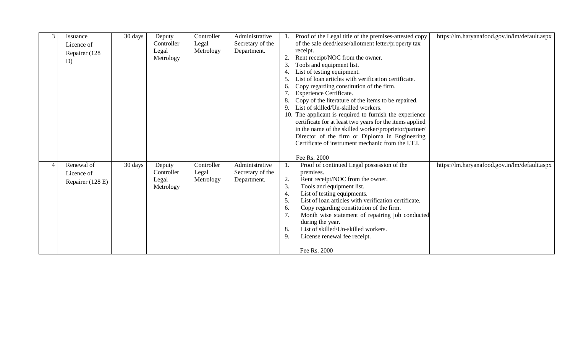| 3              | Issuance<br>Licence of<br>Repairer (128<br>D) | 30 days | Deputy<br>Controller<br>Legal<br>Metrology                                     | Controller<br>Legal<br>Metrology | Administrative<br>Secretary of the<br>Department. | 1. Proof of the Legal title of the premises-attested copy<br>of the sale deed/lease/allotment letter/property tax<br>receipt.<br>Rent receipt/NOC from the owner.<br>Tools and equipment list.<br>3.<br>List of testing equipment.<br>4.<br>List of loan articles with verification certificate.<br>Copy regarding constitution of the firm.<br>6.<br><b>Experience Certificate.</b><br>Copy of the literature of the items to be repaired.<br>8.<br>List of skilled/Un-skilled workers.<br>9.<br>10. The applicant is required to furnish the experience<br>certificate for at least two years for the items applied<br>in the name of the skilled worker/proprietor/partner/ | https://lm.haryanafood.gov.in/lm/default.aspx |
|----------------|-----------------------------------------------|---------|--------------------------------------------------------------------------------|----------------------------------|---------------------------------------------------|--------------------------------------------------------------------------------------------------------------------------------------------------------------------------------------------------------------------------------------------------------------------------------------------------------------------------------------------------------------------------------------------------------------------------------------------------------------------------------------------------------------------------------------------------------------------------------------------------------------------------------------------------------------------------------|-----------------------------------------------|
| $\overline{4}$ | Renewal of<br>Licence of<br>Repairer (128 E)  | 30 days | Controller<br>Deputy<br>Controller<br>Legal<br>Metrology<br>Legal<br>Metrology |                                  | Administrative<br>Secretary of the<br>Department. | Director of the firm or Diploma in Engineering<br>Certificate of instrument mechanic from the I.T.I.<br>Fee Rs. 2000<br>Proof of continued Legal possession of the<br>1.<br>premises.<br>Rent receipt/NOC from the owner.<br>2.<br>3.<br>Tools and equipment list.<br>List of testing equipments.<br>4.<br>5.<br>List of loan articles with verification certificate.<br>Copy regarding constitution of the firm.<br>6.<br>7.<br>Month wise statement of repairing job conducted<br>during the year.<br>List of skilled/Un-skilled workers.<br>8.<br>9.<br>License renewal fee receipt.<br>Fee Rs. 2000                                                                        | https://lm.haryanafood.gov.in/lm/default.aspx |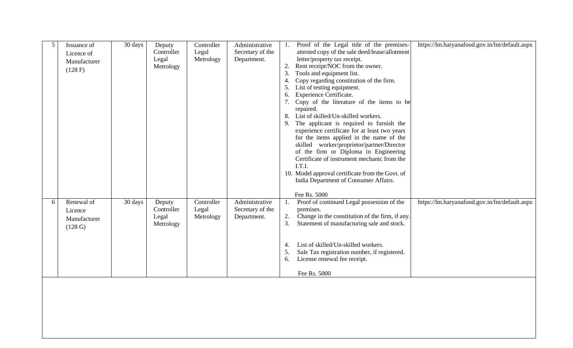| 5 | Issuance of<br>Licence of<br>Manufacturer<br>(128 F) | 30 days | Deputy<br>Controller<br>Legal<br>Metrology | Controller<br>Legal<br>Metrology | Administrative<br>Secretary of the<br>Department. | Proof of the Legal title of the premises-<br>https://lm.haryanafood.gov.in/lm/default.aspx<br>attested copy of the sale deed/lease/allotment<br>letter/property tax receipt.<br>Rent receipt/NOC from the owner.<br>3.<br>Tools and equipment list.<br>Copy regarding constitution of the firm.<br>List of testing equipment.<br>5.<br>Experience Certificate.<br>6.<br>Copy of the literature of the items to be<br>repaired.<br>List of skilled/Un-skilled workers.<br>8.<br>The applicant is required to furnish the<br>9.<br>experience certificate for at least two years<br>for the items applied in the name of the<br>skilled worker/proprietor/partner/Director<br>of the firm or Diploma in Engineering<br>Certificate of instrument mechanic from the<br>I.T.I.<br>10. Model approval certificate from the Govt. of<br>India Department of Consumer Affairs.<br>Fee Rs. 5000 |
|---|------------------------------------------------------|---------|--------------------------------------------|----------------------------------|---------------------------------------------------|-----------------------------------------------------------------------------------------------------------------------------------------------------------------------------------------------------------------------------------------------------------------------------------------------------------------------------------------------------------------------------------------------------------------------------------------------------------------------------------------------------------------------------------------------------------------------------------------------------------------------------------------------------------------------------------------------------------------------------------------------------------------------------------------------------------------------------------------------------------------------------------------|
| 6 | Renewal of<br>Licence<br>Manufacturer<br>(128 G)     | 30 days | Deputy<br>Controller<br>Legal<br>Metrology | Controller<br>Legal<br>Metrology | Administrative<br>Secretary of the<br>Department. | Proof of continued Legal possession of the<br>https://lm.haryanafood.gov.in/lm/default.aspx<br>1.<br>premises.<br>Change in the constitution of the firm, if any.<br>2.<br>3.<br>Statement of manufacturing sale and stock.<br>List of skilled/Un-skilled workers.<br>4.<br>Sale Tax registration number, if registered.<br>5.<br>License renewal fee receipt.<br>6.<br>Fee Rs. 5000                                                                                                                                                                                                                                                                                                                                                                                                                                                                                                    |
|   |                                                      |         |                                            |                                  |                                                   |                                                                                                                                                                                                                                                                                                                                                                                                                                                                                                                                                                                                                                                                                                                                                                                                                                                                                         |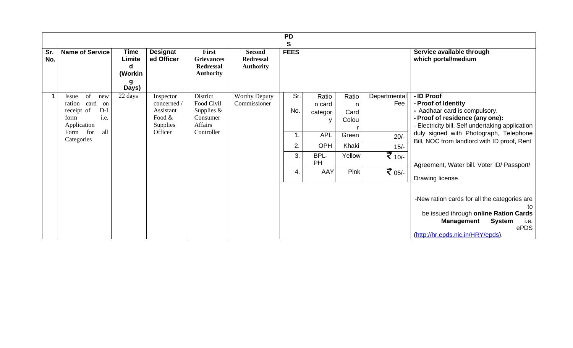|            |                                                                                                                                      |                                                     |                                                                        |                                                                             |                                                       | <b>PD</b>                          |                                                                           |                                                                 |                                                                                     |                                                                                                                                                                                                                                                                                                                                                                                                                                                                           |
|------------|--------------------------------------------------------------------------------------------------------------------------------------|-----------------------------------------------------|------------------------------------------------------------------------|-----------------------------------------------------------------------------|-------------------------------------------------------|------------------------------------|---------------------------------------------------------------------------|-----------------------------------------------------------------|-------------------------------------------------------------------------------------|---------------------------------------------------------------------------------------------------------------------------------------------------------------------------------------------------------------------------------------------------------------------------------------------------------------------------------------------------------------------------------------------------------------------------------------------------------------------------|
| Sr.<br>No. | <b>Name of Service</b>                                                                                                               | <b>Time</b><br>Limite<br>d<br>(Workin<br>g<br>Days) | <b>Designat</b><br>ed Officer                                          | First<br><b>Grievances</b><br><b>Redressal</b><br><b>Authority</b>          | <b>Second</b><br><b>Redressal</b><br><b>Authority</b> | S<br><b>FEES</b>                   |                                                                           |                                                                 |                                                                                     | Service available through<br>which portal/medium                                                                                                                                                                                                                                                                                                                                                                                                                          |
|            | of<br>Issue<br>new<br>card<br>ration<br>on<br>$D-I$<br>receipt of<br>form<br>i.e.<br>Application<br>all<br>for<br>Form<br>Categories | 22 days                                             | Inspector<br>concerned /<br>Assistant<br>Food &<br>Supplies<br>Officer | District<br>Food Civil<br>Supplies $&$<br>Consumer<br>Affairs<br>Controller | <b>Worthy Deputy</b><br>Commissioner                  | Sr.<br>No.<br>1.<br>2.<br>3.<br>4. | Ratio<br>n card<br>categor<br>y<br><b>APL</b><br>OPH<br>BPL-<br>PH<br>AAY | Ratio<br>n<br>Card<br>Colou<br>Green<br>Khaki<br>Yellow<br>Pink | Departmental<br>Fee<br>$20/-$<br>$15/-$<br>$\frac{1}{5}$ 10/-<br>$\frac{1}{5}$ 05/- | - ID Proof<br>- Proof of Identity<br>- Aadhaar card is compulsory.<br>- Proof of residence (any one):<br>- Electricity bill, Self undertaking application<br>duly signed with Photograph, Telephone<br>Bill, NOC from landlord with ID proof, Rent<br>Agreement, Water bill. Voter ID/ Passport/<br>Drawing license.<br>-New ration cards for all the categories are<br>to<br>be issued through online Ration Cards<br><b>System</b><br><b>Management</b><br>i.e.<br>ePDS |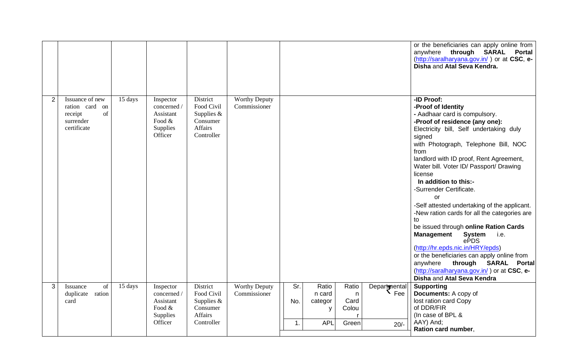|   |                                                                                |         |                                                                           |                                                                                    |                                      |                                                                                                                                         | or the beneficiaries can apply online from<br>anywhere<br>through SARAL<br><b>Portal</b><br>(http://saralharyana.gov.in/) or at CSC, e-<br>Disha and Atal Seva Kendra.                                                                                                                                                                                                                                                                                                                                                                                                                                                                                                                                                                                                             |
|---|--------------------------------------------------------------------------------|---------|---------------------------------------------------------------------------|------------------------------------------------------------------------------------|--------------------------------------|-----------------------------------------------------------------------------------------------------------------------------------------|------------------------------------------------------------------------------------------------------------------------------------------------------------------------------------------------------------------------------------------------------------------------------------------------------------------------------------------------------------------------------------------------------------------------------------------------------------------------------------------------------------------------------------------------------------------------------------------------------------------------------------------------------------------------------------------------------------------------------------------------------------------------------------|
| 2 | Issuance of new<br>ration card on<br>of<br>receipt<br>surrender<br>certificate | 15 days | Inspector<br>concerned /<br>Assistant<br>Food $\&$<br>Supplies<br>Officer | District<br>Food Civil<br>Supplies $&$<br>Consumer<br><b>Affairs</b><br>Controller | <b>Worthy Deputy</b><br>Commissioner |                                                                                                                                         | -ID Proof:<br>-Proof of Identity<br>- Aadhaar card is compulsory.<br>-Proof of residence (any one):<br>Electricity bill, Self undertaking duly<br>signed<br>with Photograph, Telephone Bill, NOC<br>from<br>landlord with ID proof, Rent Agreement,<br>Water bill. Voter ID/ Passport/ Drawing<br>license<br>In addition to this:-<br>-Surrender Certificate.<br><b>or</b><br>-Self attested undertaking of the applicant.<br>-New ration cards for all the categories are<br>to<br>be issued through online Ration Cards<br><b>Management</b><br><b>System</b><br>i.e.<br>ePDS<br>(http://hr.epds.nic.in/HRY/epds)<br>or the beneficiaries can apply online from<br>anywhere<br>through SARAL Portal<br>(http://saralharyana.gov.in/) or at CSC, e-<br>Disha and Atal Seva Kendra |
| 3 | of<br>Issuance<br>duplicate ration<br>card                                     | 15 days | Inspector<br>concerned /<br>Assistant<br>Food $\&$<br>Supplies<br>Officer | District<br>Food Civil<br>Supplies $&$<br>Consumer<br>Affairs<br>Controller        | <b>Worthy Deputy</b><br>Commissioner | Sr.<br>Ratio<br>Ratio<br>Departmental<br>n card<br>n<br>Card<br>categor<br>No.<br>Colou<br>y<br>$\overline{1}$ .<br><b>APL</b><br>Green | <b>Supporting</b><br>Documents: A copy of<br>lost ration card Copy<br>of DDR/FIR<br>(In case of BPL &<br>AAY) And;<br>$20/-$<br>Ration card number,                                                                                                                                                                                                                                                                                                                                                                                                                                                                                                                                                                                                                                |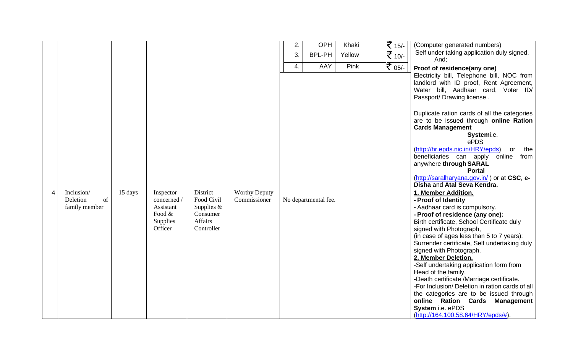|                |                |         |             |              |                      | 2. | OPH                  | Khaki  | ₹ 15/-             | (Computer generated numbers)                                               |
|----------------|----------------|---------|-------------|--------------|----------------------|----|----------------------|--------|--------------------|----------------------------------------------------------------------------|
|                |                |         |             |              |                      | 3. | <b>BPL-PH</b>        | Yellow |                    | Self under taking application duly signed.                                 |
|                |                |         |             |              |                      |    |                      |        | $\frac{1}{2}$ 10/- | And:                                                                       |
|                |                |         |             |              |                      | 4. | AAY                  | Pink   | $\frac{1}{5}$ 05/- | Proof of residence(any one)                                                |
|                |                |         |             |              |                      |    |                      |        |                    | Electricity bill, Telephone bill, NOC from                                 |
|                |                |         |             |              |                      |    |                      |        |                    | landlord with ID proof, Rent Agreement,                                    |
|                |                |         |             |              |                      |    |                      |        |                    | Water bill, Aadhaar card, Voter ID/                                        |
|                |                |         |             |              |                      |    |                      |        |                    | Passport/ Drawing license.                                                 |
|                |                |         |             |              |                      |    |                      |        |                    |                                                                            |
|                |                |         |             |              |                      |    |                      |        |                    | Duplicate ration cards of all the categories                               |
|                |                |         |             |              |                      |    |                      |        |                    | are to be issued through online Ration                                     |
|                |                |         |             |              |                      |    |                      |        |                    | <b>Cards Management</b>                                                    |
|                |                |         |             |              |                      |    |                      |        |                    | Systemi.e.                                                                 |
|                |                |         |             |              |                      |    |                      |        |                    | ePDS                                                                       |
|                |                |         |             |              |                      |    |                      |        |                    | (http://hr.epds.nic.in/HRY/epds)<br>the<br>or                              |
|                |                |         |             |              |                      |    |                      |        |                    | beneficiaries can apply<br>online<br>from                                  |
|                |                |         |             |              |                      |    |                      |        |                    | anywhere through SARAL                                                     |
|                |                |         |             |              |                      |    |                      |        |                    | <b>Portal</b>                                                              |
|                |                |         |             |              |                      |    |                      |        |                    | (http://saralharyana.gov.in/) or at CSC, e-<br>Disha and Atal Seva Kendra. |
| $\overline{4}$ | Inclusion/     | 15 days | Inspector   | District     | <b>Worthy Deputy</b> |    |                      |        |                    | 1. Member Addition.                                                        |
|                | Deletion<br>of |         | concerned / | Food Civil   | Commissioner         |    | No departmental fee. |        |                    | - Proof of Identity                                                        |
|                | family member  |         | Assistant   | Supplies $&$ |                      |    |                      |        |                    | - Aadhaar card is compulsory.                                              |
|                |                |         | Food $\&$   | Consumer     |                      |    |                      |        |                    | - Proof of residence (any one):                                            |
|                |                |         | Supplies    | Affairs      |                      |    |                      |        |                    | Birth certificate, School Certificate duly                                 |
|                |                |         | Officer     | Controller   |                      |    |                      |        |                    | signed with Photograph,                                                    |
|                |                |         |             |              |                      |    |                      |        |                    | (in case of ages less than 5 to 7 years);                                  |
|                |                |         |             |              |                      |    |                      |        |                    | Surrender certificate, Self undertaking duly                               |
|                |                |         |             |              |                      |    |                      |        |                    | signed with Photograph.                                                    |
|                |                |         |             |              |                      |    |                      |        |                    | 2. Member Deletion.                                                        |
|                |                |         |             |              |                      |    |                      |        |                    | -Self undertaking application form from                                    |
|                |                |         |             |              |                      |    |                      |        |                    | Head of the family.                                                        |
|                |                |         |             |              |                      |    |                      |        |                    | -Death certificate /Marriage certificate.                                  |
|                |                |         |             |              |                      |    |                      |        |                    | -For Inclusion/ Deletion in ration cards of all                            |
|                |                |         |             |              |                      |    |                      |        |                    | the categories are to be issued through                                    |
|                |                |         |             |              |                      |    |                      |        |                    | online Ration Cards<br><b>Management</b>                                   |
|                |                |         |             |              |                      |    |                      |        |                    | System i.e. ePDS<br>(http://164.100.58.64/HRY/epds/#).                     |
|                |                |         |             |              |                      |    |                      |        |                    |                                                                            |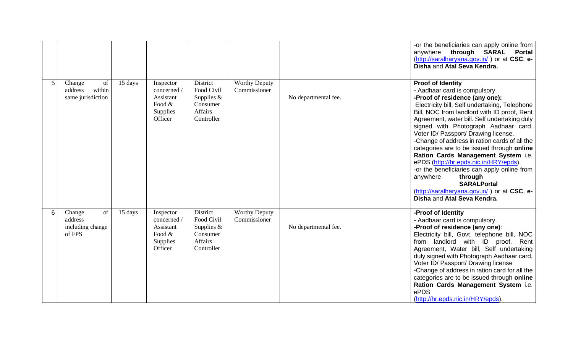|   |                                                        |         |                                                                          |                                                                                    |                                      |                      | -or the beneficiaries can apply online from<br>anywhere through SARAL<br>Portal<br>(http://saralharyana.gov.in/) or at CSC, e-<br>Disha and Atal Seva Kendra.                                                                                                                                                                                                                                                                                                                                                                                                                                                                                                                         |
|---|--------------------------------------------------------|---------|--------------------------------------------------------------------------|------------------------------------------------------------------------------------|--------------------------------------|----------------------|---------------------------------------------------------------------------------------------------------------------------------------------------------------------------------------------------------------------------------------------------------------------------------------------------------------------------------------------------------------------------------------------------------------------------------------------------------------------------------------------------------------------------------------------------------------------------------------------------------------------------------------------------------------------------------------|
| 5 | of<br>Change<br>within<br>address<br>same jurisdiction | 15 days | Inspector<br>concerned /<br>Assistant<br>Food $&$<br>Supplies<br>Officer | District<br>Food Civil<br>Supplies $&$<br>Consumer<br><b>Affairs</b><br>Controller | <b>Worthy Deputy</b><br>Commissioner | No departmental fee. | <b>Proof of Identity</b><br>- Aadhaar card is compulsory.<br>-Proof of residence (any one):<br>Electricity bill, Self undertaking, Telephone<br>Bill, NOC from landlord with ID proof, Rent<br>Agreement, water bill. Self undertaking duly<br>signed with Photograph Aadhaar card,<br>Voter ID/ Passport/ Drawing license.<br>-Change of address in ration cards of all the<br>categories are to be issued through online<br>Ration Cards Management System i.e.<br>ePDS (http://hr.epds.nic.in/HRY/epds).<br>-or the beneficiaries can apply online from<br>anywhere<br>through<br><b>SARALPortal</b><br>(http://saralharyana.gov.in/) or at CSC, e-<br>Disha and Atal Seva Kendra. |
| 6 | of<br>Change<br>address<br>including change<br>of FPS  | 15 days | Inspector<br>concerned /<br>Assistant<br>Food $&$<br>Supplies<br>Officer | District<br>Food Civil<br>Supplies $&$<br>Consumer<br>Affairs<br>Controller        | <b>Worthy Deputy</b><br>Commissioner | No departmental fee. | -Proof of Identity<br>- Aadhaar card is compulsory.<br>-Proof of residence (any one):<br>Electricity bill, Govt. telephone bill, NOC<br>from landlord with ID proof, Rent<br>Agreement, Water bill, Self undertaking<br>duly signed with Photograph Aadhaar card,<br>Voter ID/ Passport/ Drawing license<br>-Change of address in ration card for all the<br>categories are to be issued through online<br>Ration Cards Management System i.e.<br>ePDS<br>(http://hr.epds.nic.in/HRY/epds).                                                                                                                                                                                           |